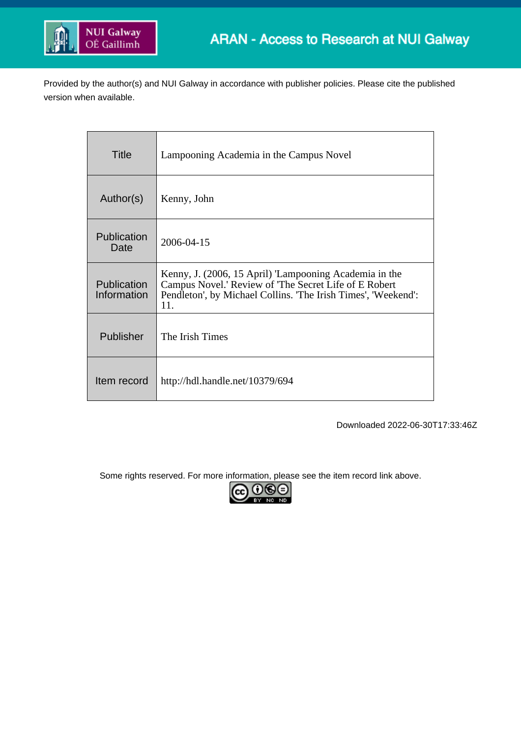

Provided by the author(s) and NUI Galway in accordance with publisher policies. Please cite the published version when available.

| Title                      | Lampooning Academia in the Campus Novel                                                                                                                                                 |
|----------------------------|-----------------------------------------------------------------------------------------------------------------------------------------------------------------------------------------|
| Author(s)                  | Kenny, John                                                                                                                                                                             |
| Publication<br>Date        | 2006-04-15                                                                                                                                                                              |
| Publication<br>Information | Kenny, J. (2006, 15 April) 'Lampooning Academia in the<br>Campus Novel.' Review of 'The Secret Life of E Robert<br>Pendleton', by Michael Collins. 'The Irish Times', 'Weekend':<br>11. |
| Publisher                  | The Irish Times                                                                                                                                                                         |
| Item record                | http://hdl.handle.net/10379/694                                                                                                                                                         |

Downloaded 2022-06-30T17:33:46Z

Some rights reserved. For more information, please see the item record link above.

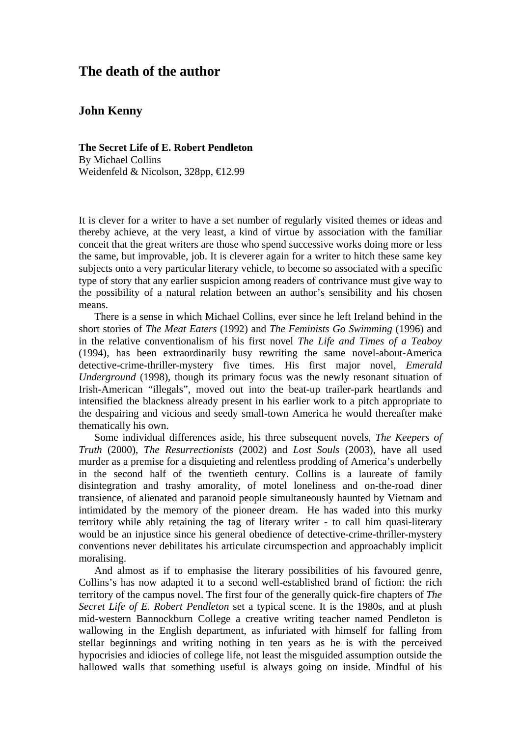## **The death of the author**

## **John Kenny**

**The Secret Life of E. Robert Pendleton**  By Michael Collins Weidenfeld & Nicolson, 328pp, €12.99

It is clever for a writer to have a set number of regularly visited themes or ideas and thereby achieve, at the very least, a kind of virtue by association with the familiar conceit that the great writers are those who spend successive works doing more or less the same, but improvable, job. It is cleverer again for a writer to hitch these same key subjects onto a very particular literary vehicle, to become so associated with a specific type of story that any earlier suspicion among readers of contrivance must give way to the possibility of a natural relation between an author's sensibility and his chosen means.

There is a sense in which Michael Collins, ever since he left Ireland behind in the short stories of *The Meat Eaters* (1992) and *The Feminists Go Swimming* (1996) and in the relative conventionalism of his first novel *The Life and Times of a Teaboy* (1994), has been extraordinarily busy rewriting the same novel-about-America detective-crime-thriller-mystery five times. His first major novel, *Emerald Underground* (1998), though its primary focus was the newly resonant situation of Irish-American "illegals", moved out into the beat-up trailer-park heartlands and intensified the blackness already present in his earlier work to a pitch appropriate to the despairing and vicious and seedy small-town America he would thereafter make thematically his own.

Some individual differences aside, his three subsequent novels, *The Keepers of Truth* (2000), *The Resurrectionists* (2002) and *Lost Souls* (2003), have all used murder as a premise for a disquieting and relentless prodding of America's underbelly in the second half of the twentieth century. Collins is a laureate of family disintegration and trashy amorality, of motel loneliness and on-the-road diner transience, of alienated and paranoid people simultaneously haunted by Vietnam and intimidated by the memory of the pioneer dream. He has waded into this murky territory while ably retaining the tag of literary writer - to call him quasi-literary would be an injustice since his general obedience of detective-crime-thriller-mystery conventions never debilitates his articulate circumspection and approachably implicit moralising.

And almost as if to emphasise the literary possibilities of his favoured genre, Collins's has now adapted it to a second well-established brand of fiction: the rich territory of the campus novel. The first four of the generally quick-fire chapters of *The Secret Life of E. Robert Pendleton* set a typical scene. It is the 1980s, and at plush mid-western Bannockburn College a creative writing teacher named Pendleton is wallowing in the English department, as infuriated with himself for falling from stellar beginnings and writing nothing in ten years as he is with the perceived hypocrisies and idiocies of college life, not least the misguided assumption outside the hallowed walls that something useful is always going on inside. Mindful of his